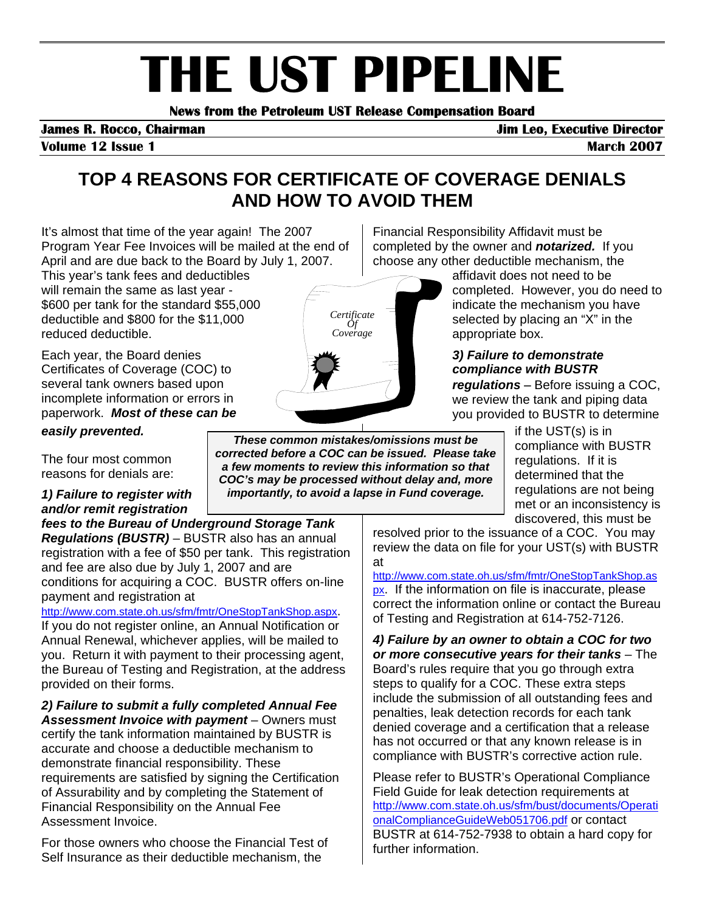# **THE UST PIPELINE**<br>News from the Petroleum UST Release Compensation Board

**Volume 12 Issue 1 March 2007 March 2007** 

## **TOP 4 REASONS FOR CERTIFICATE OF COVERAGE DENIALS AND HOW TO AVOID THEM**

It's almost that time of the year again! The 2007 Program Year Fee Invoices will be mailed at the end of April and are due back to the Board by July 1, 2007.

This year's tank fees and deductibles will remain the same as last year - \$600 per tank for the standard \$55,000 deductible and \$800 for the \$11,000 reduced deductible.

Each year, the Board denies Certificates of Coverage (COC) to several tank owners based upon incomplete information or errors in paperwork. *Most of these can be easily prevented.*

The four most common reasons for denials are:

*1) Failure to register with and/or remit registration* 

*fees to the Bureau of Underground Storage Tank Regulations (BUSTR)* – BUSTR also has an annual registration with a fee of \$50 per tank. This registration and fee are also due by July 1, 2007 and are conditions for acquiring a COC. BUSTR offers on-line payment and registration at

[http://www.com.state.oh.us/sfm/fmtr/OneStopTankShop.aspx.](http://www.com.state.oh.us/sfm/fmtr/OneStopTankShop.aspx)

If you do not register online, an Annual Notification or Annual Renewal, whichever applies, will be mailed to you. Return it with payment to their processing agent, the Bureau of Testing and Registration, at the address provided on their forms.

*2) Failure to submit a fully completed Annual Fee Assessment Invoice with payment* – Owners must certify the tank information maintained by BUSTR is accurate and choose a deductible mechanism to demonstrate financial responsibility. These requirements are satisfied by signing the Certification of Assurability and by completing the Statement of Financial Responsibility on the Annual Fee Assessment Invoice.

For those owners who choose the Financial Test of Self Insurance as their deductible mechanism, the

*These common mistakes/omissions must be corrected before a COC can be issued. Please take a few moments to review this information so that COC's may be processed without delay and, more importantly, to avoid a lapse in Fund coverage.* 

Financial Responsibility Affidavit must be completed by the owner and *notarized.* If you choose any other deductible mechanism, the

affidavit does not need to be completed. However, you do need to indicate the mechanism you have selected by placing an "X" in the appropriate box.

## *3) Failure to demonstrate compliance with BUSTR*

*regulations* **–** Before issuing a COC, we review the tank and piping data you provided to BUSTR to determine

> if the UST(s) is in compliance with BUSTR regulations. If it is determined that the regulations are not being met or an inconsistency is discovered, this must be

resolved prior to the issuance of a COC. You may review the data on file for your UST(s) with BUSTR at

[http://www.com.state.oh.us/sfm/fmtr/OneStopTankShop.as](http://www.com.state.oh.us/sfm/fmtr/OneStopTankShop.aspx) [px.](http://www.com.state.oh.us/sfm/fmtr/OneStopTankShop.aspx) If the information on file is inaccurate, please correct the information online or contact the Bureau of Testing and Registration at 614-752-7126.

*4) Failure by an owner to obtain a COC for two or more consecutive years for their tanks* – The Board's rules require that you go through extra steps to qualify for a COC. These extra steps include the submission of all outstanding fees and penalties, leak detection records for each tank denied coverage and a certification that a release has not occurred or that any known release is in compliance with BUSTR's corrective action rule.

Please refer to BUSTR's Operational Compliance Field Guide for leak detection requirements at [http://www.com.state.oh.us/sfm/bust/documents/Operati](http://www.com.state.oh.us/sfm/bust/documents/OperationalComplianceGuideWeb051706.pdf) [onalComplianceGuideWeb051706.pdf](http://www.com.state.oh.us/sfm/bust/documents/OperationalComplianceGuideWeb051706.pdf) or contact BUSTR at 614-752-7938 to obtain a hard copy for further information.

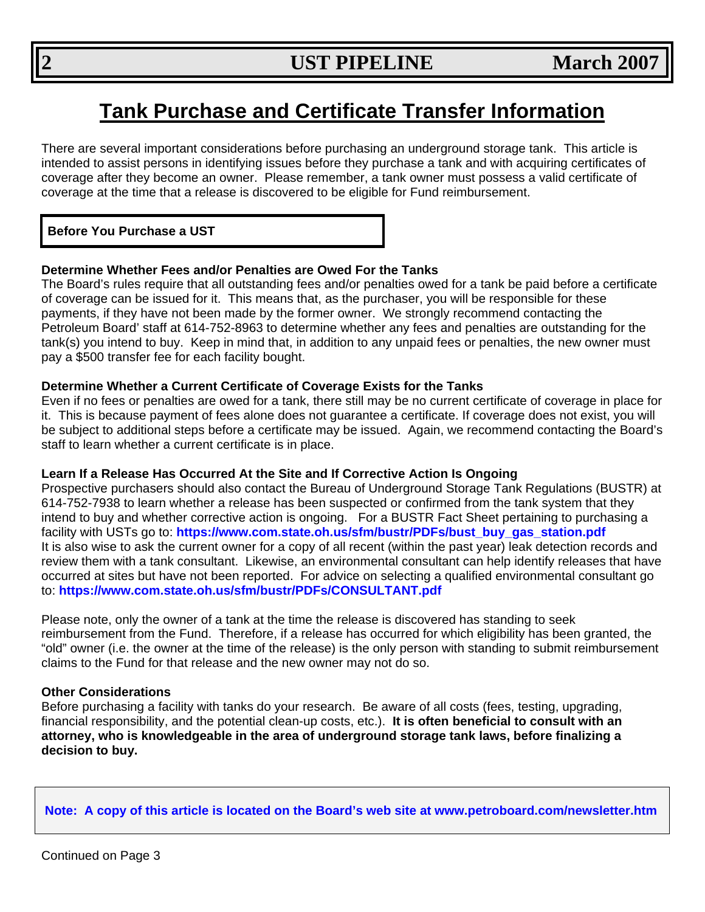## **Tank Purchase and Certificate Transfer Information**

There are several important considerations before purchasing an underground storage tank. This article is intended to assist persons in identifying issues before they purchase a tank and with acquiring certificates of coverage after they become an owner. Please remember, a tank owner must possess a valid certificate of coverage at the time that a release is discovered to be eligible for Fund reimbursement.

## **Before You Purchase a UST**

## **Determine Whether Fees and/or Penalties are Owed For the Tanks**

The Board's rules require that all outstanding fees and/or penalties owed for a tank be paid before a certificate of coverage can be issued for it. This means that, as the purchaser, you will be responsible for these payments, if they have not been made by the former owner. We strongly recommend contacting the Petroleum Board' staff at 614-752-8963 to determine whether any fees and penalties are outstanding for the tank(s) you intend to buy. Keep in mind that, in addition to any unpaid fees or penalties, the new owner must pay a \$500 transfer fee for each facility bought.

#### **Determine Whether a Current Certificate of Coverage Exists for the Tanks**

Even if no fees or penalties are owed for a tank, there still may be no current certificate of coverage in place for it. This is because payment of fees alone does not guarantee a certificate. If coverage does not exist, you will be subject to additional steps before a certificate may be issued. Again, we recommend contacting the Board's staff to learn whether a current certificate is in place.

#### **Learn If a Release Has Occurred At the Site and If Corrective Action Is Ongoing**

Prospective purchasers should also contact the Bureau of Underground Storage Tank Regulations (BUSTR) at 614-752-7938 to learn whether a release has been suspected or confirmed from the tank system that they intend to buy and whether corrective action is ongoing. For a BUSTR Fact Sheet pertaining to purchasing a facility with USTs go to: **[https://www.com.state.oh.us/sfm/bustr/PDFs/bust\\_buy\\_gas\\_station.pdf](https://www.com.state.oh.us/sfm/bustr/PDFs/bust_buy_gas_station.pdf)**  It is also wise to ask the current owner for a copy of all recent (within the past year) leak detection records and review them with a tank consultant. Likewise, an environmental consultant can help identify releases that have occurred at sites but have not been reported. For advice on selecting a qualified environmental consultant go to: **<https://www.com.state.oh.us/sfm/bustr/PDFs/CONSULTANT.pdf>**

Please note, only the owner of a tank at the time the release is discovered has standing to seek reimbursement from the Fund. Therefore, if a release has occurred for which eligibility has been granted, the "old" owner (i.e. the owner at the time of the release) is the only person with standing to submit reimbursement claims to the Fund for that release and the new owner may not do so.

#### **Other Considerations**

Before purchasing a facility with tanks do your research. Be aware of all costs (fees, testing, upgrading, financial responsibility, and the potential clean-up costs, etc.). **It is often beneficial to consult with an attorney, who is knowledgeable in the area of underground storage tank laws, before finalizing a decision to buy.** 

 **Note: A copy of this article is located on the Board's web site at www.petroboard.com/newsletter.htm**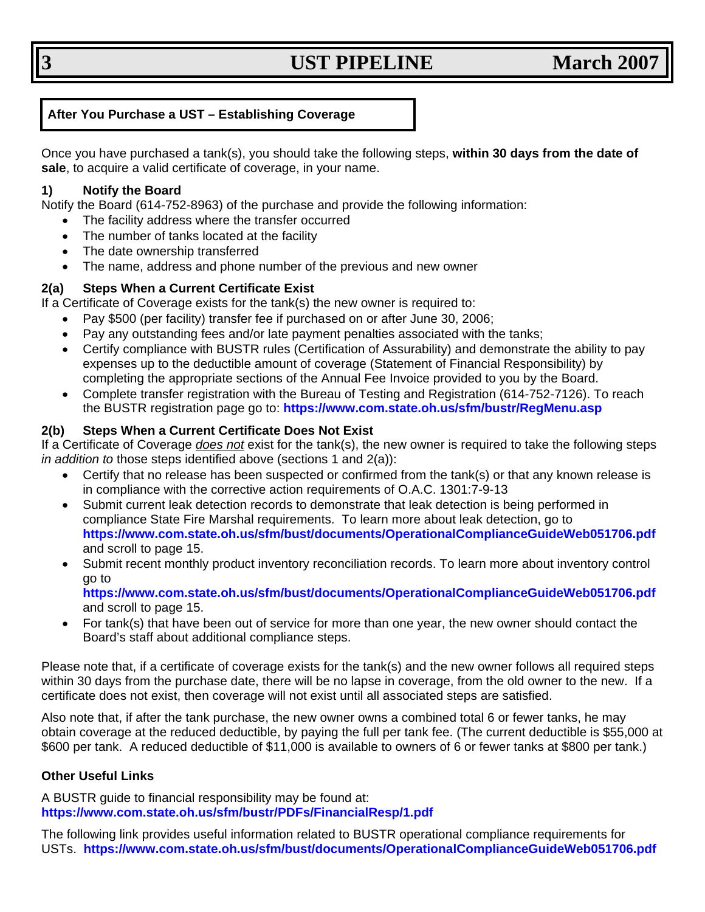## **3** UST PIPELINE March 2007

## **After You Purchase a UST – Establishing Coverage**

Once you have purchased a tank(s), you should take the following steps, **within 30 days from the date of sale**, to acquire a valid certificate of coverage, in your name.

### **1) Notify the Board**

Notify the Board (614-752-8963) of the purchase and provide the following information:

- The facility address where the transfer occurred
- The number of tanks located at the facility
- The date ownership transferred
- The name, address and phone number of the previous and new owner

## **2(a) Steps When a Current Certificate Exist**

If a Certificate of Coverage exists for the tank(s) the new owner is required to:

- Pay \$500 (per facility) transfer fee if purchased on or after June 30, 2006;
- Pay any outstanding fees and/or late payment penalties associated with the tanks;
- Certify compliance with BUSTR rules (Certification of Assurability) and demonstrate the ability to pay expenses up to the deductible amount of coverage (Statement of Financial Responsibility) by completing the appropriate sections of the Annual Fee Invoice provided to you by the Board.
- Complete transfer registration with the Bureau of Testing and Registration (614-752-7126). To reach the BUSTR registration page go to: **<https://www.com.state.oh.us/sfm/bustr/RegMenu.asp>**

## **2(b) Steps When a Current Certificate Does Not Exist**

If a Certificate of Coverage *does not* exist for the tank(s), the new owner is required to take the following steps *in addition to* those steps identified above (sections 1 and 2(a)):

- Certify that no release has been suspected or confirmed from the tank(s) or that any known release is in compliance with the corrective action requirements of O.A.C. 1301:7-9-13
- Submit current leak detection records to demonstrate that leak detection is being performed in compliance State Fire Marshal requirements. To learn more about leak detection, go to **<https://www.com.state.oh.us/sfm/bust/documents/OperationalComplianceGuideWeb051706.pdf>** and scroll to page 15.
- Submit recent monthly product inventory reconciliation records. To learn more about inventory control go to

**<https://www.com.state.oh.us/sfm/bust/documents/OperationalComplianceGuideWeb051706.pdf>** and scroll to page 15.

• For tank(s) that have been out of service for more than one year, the new owner should contact the Board's staff about additional compliance steps.

Please note that, if a certificate of coverage exists for the tank(s) and the new owner follows all required steps within 30 days from the purchase date, there will be no lapse in coverage, from the old owner to the new. If a certificate does not exist, then coverage will not exist until all associated steps are satisfied.

Also note that, if after the tank purchase, the new owner owns a combined total 6 or fewer tanks, he may obtain coverage at the reduced deductible, by paying the full per tank fee. (The current deductible is \$55,000 at \$600 per tank. A reduced deductible of \$11,000 is available to owners of 6 or fewer tanks at \$800 per tank.)

#### **Other Useful Links**

A BUSTR guide to financial responsibility may be found at: **h[ttps://www.com.state.oh.us/sfm/bustr/PDFs/FinancialResp/1.pdf](https://www.com.state.oh.us/sfm/bustr/PDFs/FinancialResp/1.pdf)**

The following link provides useful information related to BUSTR operational compliance requirements for USTs. **<https://www.com.state.oh.us/sfm/bust/documents/OperationalComplianceGuideWeb051706.pdf>**